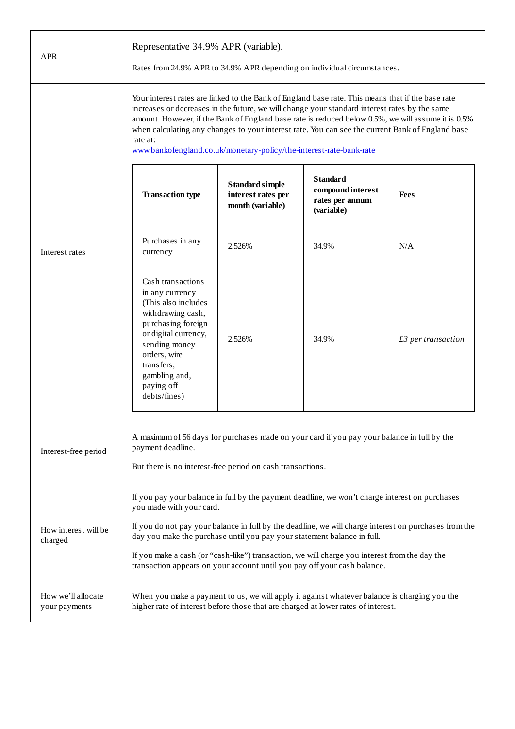| <b>APR</b>                          | Representative 34.9% APR (variable).<br>Rates from 24.9% APR to 34.9% APR depending on individual circumstances.                                                                                                                                                                                                                                                                                                                                                                                |                                                           |                                                                       |                    |
|-------------------------------------|-------------------------------------------------------------------------------------------------------------------------------------------------------------------------------------------------------------------------------------------------------------------------------------------------------------------------------------------------------------------------------------------------------------------------------------------------------------------------------------------------|-----------------------------------------------------------|-----------------------------------------------------------------------|--------------------|
|                                     | Your interest rates are linked to the Bank of England base rate. This means that if the base rate<br>increases or decreases in the future, we will change your standard interest rates by the same<br>amount. However, if the Bank of England base rate is reduced below 0.5%, we will assume it is 0.5%<br>when calculating any changes to your interest rate. You can see the current Bank of England base<br>rate at:<br>www.bankofengland.co.uk/monetary-policy/the-interest-rate-bank-rate |                                                           |                                                                       |                    |
| Interest rates                      | <b>Transaction type</b>                                                                                                                                                                                                                                                                                                                                                                                                                                                                         | Standard simple<br>interest rates per<br>month (variable) | <b>Standard</b><br>compound interest<br>rates per annum<br>(variable) | <b>Fees</b>        |
|                                     | Purchases in any<br>currency                                                                                                                                                                                                                                                                                                                                                                                                                                                                    | 2.526%                                                    | 34.9%                                                                 | N/A                |
|                                     | Cash transactions<br>in any currency<br>(This also includes<br>withdrawing cash,<br>purchasing foreign<br>or digital currency,<br>sending money<br>orders, wire<br>transfers,<br>gambling and,<br>paying off<br>debts/fines)                                                                                                                                                                                                                                                                    | 2.526%                                                    | 34.9%                                                                 | £3 per transaction |
| Interest-free period                | A maximum of 56 days for purchases made on your card if you pay your balance in full by the<br>payment deadline.<br>But there is no interest-free period on cash transactions.                                                                                                                                                                                                                                                                                                                  |                                                           |                                                                       |                    |
| How interest will be<br>charged     | If you pay your balance in full by the payment deadline, we won't charge interest on purchases<br>you made with your card.<br>If you do not pay your balance in full by the deadline, we will charge interest on purchases from the<br>day you make the purchase until you pay your statement balance in full.<br>If you make a cash (or "cash-like") transaction, we will charge you interest from the day the<br>transaction appears on your account until you pay off your cash balance.     |                                                           |                                                                       |                    |
| How we'll allocate<br>your payments | When you make a payment to us, we will apply it against whatever balance is charging you the<br>higher rate of interest before those that are charged at lower rates of interest.                                                                                                                                                                                                                                                                                                               |                                                           |                                                                       |                    |